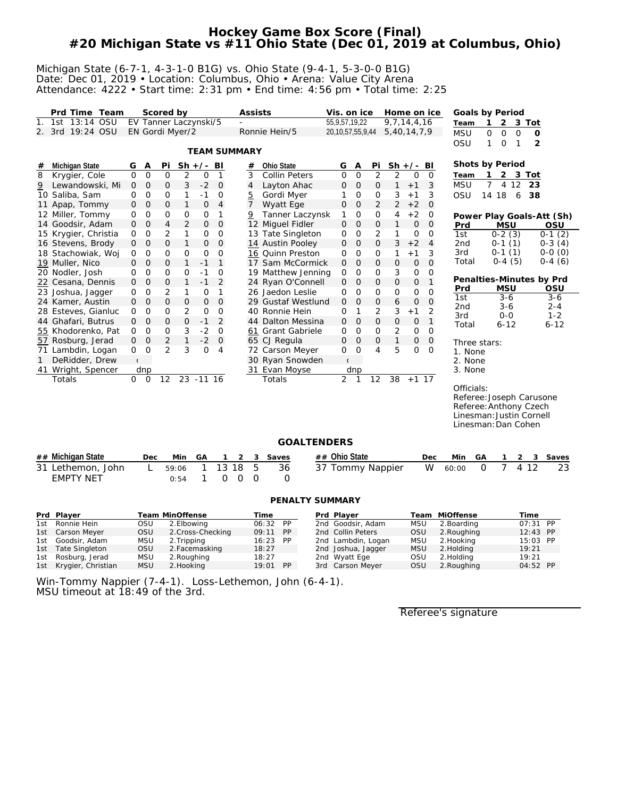## **Hockey Game Box Score (Final) #20 Michigan State vs #11 Ohio State (Dec 01, 2019 at Columbus, Ohio)**

#### Michigan State (6-7-1, 4-3-1-0 B1G) vs. Ohio State (9-4-1, 5-3-0-0 B1G) Date: Dec 01, 2019 • Location: Columbus, Ohio • Arena: Value City Arena Attendance: 4222 • Start time: 2:31 pm • End time: 4:56 pm • Total time: 2:25

|                | Prd Time Team        |                |                | Scored by             |              |                     |                |                     | Assists |                      | Vis. on ice           |                |                | Home on ice     |              |                | Goals by Period           |              |                    |             |                |                    |
|----------------|----------------------|----------------|----------------|-----------------------|--------------|---------------------|----------------|---------------------|---------|----------------------|-----------------------|----------------|----------------|-----------------|--------------|----------------|---------------------------|--------------|--------------------|-------------|----------------|--------------------|
| 1 <sub>1</sub> | 1st 13:14<br>OSU     |                |                | EV Tanner Laczynski/5 |              |                     |                |                     |         |                      | 55, 9, 57, 19, 22     |                |                | 9, 7, 14, 4, 16 |              |                | Team                      | $\mathbf{1}$ | 2                  | 3 Tot       |                |                    |
|                | 2. 3rd 19:24 OSU     |                |                | EN Gordi Myer/2       |              |                     |                |                     |         | Ronnie Hein/5        | 20, 10, 57, 55, 9, 44 |                |                | 5,40,14,7,9     |              |                | <b>MSU</b>                | 0            | $\mathbf 0$        | $\mathbf 0$ | 0              |                    |
|                |                      |                |                |                       |              |                     |                |                     |         |                      |                       |                |                |                 |              |                | OSU                       | 1            | $\mathsf{O}$       | 1           | $\overline{2}$ |                    |
|                |                      |                |                |                       |              |                     |                | <b>TEAM SUMMARY</b> |         |                      |                       |                |                |                 |              |                |                           |              |                    |             |                |                    |
| #              | Michigan State       | G              | Α              | Pi                    | $Sh +/-$     |                     | BI             | #                   |         | Ohio State           | G                     | Α              | Pi             |                 | $Sh +/-$     | BI             | Shots by Period           |              |                    |             |                |                    |
| 8              | Krygier, Cole        | $\mathbf{O}$   | $\mathbf 0$    | 0                     | 2            | 0                   | 1              | 3                   |         | <b>Collin Peters</b> | $\mathbf{O}$          | $\mathbf 0$    | $\overline{2}$ | 2               | 0            | $\overline{0}$ | Team                      | 1            |                    | 2 3 Tot     |                |                    |
| $\overline{9}$ | Lewandowski, Mi      | $\mathbf 0$    | $\mathbf 0$    | $\mathsf{O}$          | 3            | $-2$                | $\mathcal{O}$  | 4                   |         | Layton Ahac          | 0                     | $\overline{0}$ | 0              | $\mathbf{1}$    | $+1$         | 3              | <b>MSU</b>                | $7^{\circ}$  | 4                  | 12          | 23             |                    |
|                | 10 Saliba, Sam       | 0              | 0              | 0                     | 1            | $-1$                | 0              | <u>5</u>            |         | Gordi Myer           | 1                     | 0              | 0              | 3               | $+1$         | 3              | OSU                       | 14 18        |                    | 6           | 38             |                    |
|                | 11 Apap, Tommy       | $\mathbf{O}$   | $\mathbf 0$    | 0                     | 1            | $\mathsf{O}\xspace$ | $\overline{4}$ | $\overline{7}$      |         | Wyatt Ege            | 0                     | $\mathbf{O}$   | $\overline{2}$ | $\overline{2}$  | $+2$         | $\overline{O}$ |                           |              |                    |             |                |                    |
|                | 12 Miller, Tommy     | 0              | $\overline{O}$ | 0                     | 0            | 0                   | 1              | $\overline{6}$      |         | Tanner Laczynsk      | 1                     | $\mathbf 0$    | 0              | 4               | $+2$         | $\mathbf 0$    | Power Play Goals-Att (Sh) |              |                    |             |                |                    |
|                | 14 Goodsir, Adam     | 0              | $\overline{O}$ | 4                     | 2            | $\mathbf 0$         | $\overline{O}$ |                     |         | 12 Miguel Fidler     | 0                     | $\mathbf 0$    | 0              | $\mathbf{1}$    | $\mathbf 0$  | $\overline{0}$ | Prd                       |              | <b>MSU</b>         |             |                | OSU                |
|                | 15 Krygier, Christia | 0              | $\overline{O}$ | 2                     | 1            | O                   | O              |                     |         | 13 Tate Singleton    | 0                     | $\mathbf 0$    | 2              | 1               | 0            | $\mathbf 0$    | 1st                       |              | $0-2(3)$           |             |                | $0-1(2)$           |
|                | 16 Stevens, Brody    | 0              | $\overline{O}$ | $\overline{O}$        | $\mathbf{1}$ | $\overline{O}$      | $\overline{O}$ |                     |         | 14 Austin Pooley     | $\mathbf 0$           | $\mathbf{O}$   | $\overline{O}$ | 3               | $+2$         | $\overline{4}$ | 2 <sub>nd</sub>           |              | $0-1(1)$           |             |                | $0-3(4)$           |
|                | 18 Stachowiak, Woj   | 0              | $\mathbf 0$    | 0                     | $\mathbf{O}$ | $\mathbf 0$         | $\overline{O}$ |                     |         | 16 Quinn Preston     | 0                     | 0              | 0              | 1               | $+1$         | 3              | 3rd                       |              | $0-1(1)$           |             |                | $0-0(0)$           |
|                | 19 Muller, Nico      | 0              | $\mathbf 0$    | 0                     | $\mathbf{1}$ | $-1$                | $\mathbf{1}$   |                     |         | 17 Sam McCormick     | $\mathbf{O}$          | $\mathbf{O}$   | 0              | $\mathbf 0$     | $\mathbf{O}$ | $\Omega$       | Total                     |              | $0-4(5)$           |             |                | $0-4(6)$           |
|                | 20 Nodler, Josh      | 0              | $\overline{O}$ | 0                     | 0            | $-1$                | O              |                     |         | 19 Matthew Jenning   | 0                     | 0              | 0              | 3               | 0            | 0              |                           |              |                    |             |                |                    |
|                | 22 Cesana, Dennis    | 0              | $\mathbf 0$    | 0                     | 1            | $-1$                | $\overline{2}$ |                     |         | 24 Ryan O'Connell    | 0                     | $\mathbf 0$    | 0              | $\mathsf{O}$    | 0            | $\mathbf{1}$   | Penalties-Minutes by Prd  |              |                    |             |                |                    |
|                | 23 Joshua, Jagger    | 0              | $\mathbf 0$    | $\overline{2}$        | 1            | 0                   | 1              |                     |         | 26 Jaedon Leslie     | 0                     | $\mathbf 0$    | 0              | $\overline{O}$  | 0            | 0              | Prd                       |              | <b>MSU</b>         |             |                | OSU                |
|                | 24 Kamer, Austin     | O              | $\overline{O}$ | 0                     | $\mathbf 0$  | $\overline{O}$      | $\overline{O}$ |                     |         | 29 Gustaf Westlund   | 0                     | $\mathbf{O}$   | 0              | 6               | 0            | $\Omega$       | 1st<br>2 <sub>nd</sub>    |              | $3 - 6$<br>$3 - 6$ |             |                | $3 - 6$<br>$2 - 4$ |
|                | 28 Esteves, Gianluc  | 0              | $\mathbf{O}$   | 0                     | 2            | $\mathbf 0$         | $\mathbf{O}$   |                     |         | 40 Ronnie Hein       | 0                     | 1              | 2              | 3               | $+1$         | 2              | 3rd                       |              | $0 - 0$            |             |                | $1 - 2$            |
|                | 44 Ghafari, Butrus   | O              | $\overline{O}$ | 0                     | $\mathbf 0$  | $-1$                | 2              | 44                  |         | Dalton Messina       | 0                     | $\mathbf{O}$   | $\overline{O}$ | 0               | $\mathbf{O}$ | $\mathbf{1}$   | Total                     |              | $6 - 12$           |             |                | $6 - 12$           |
|                | 55 Khodorenko, Pat   | 0              | $\overline{O}$ | $\mathbf{O}$          | 3            | $-2$                | $\mathbf{O}$   |                     |         | 61 Grant Gabriele    | 0                     | $\overline{0}$ | $\mathbf{O}$   | $\overline{2}$  | $\mathbf{O}$ | $\mathcal{O}$  |                           |              |                    |             |                |                    |
|                | 57 Rosburg, Jerad    | O              | $\mathbf 0$    | $\overline{2}$        | $\mathbf{1}$ | $-2$                | $\mathbf 0$    |                     |         | 65 CJ Regula         | 0                     | $\mathbf 0$    | 0              | $\mathbf{1}$    | 0            | $\overline{0}$ | Three stars:              |              |                    |             |                |                    |
|                | 71 Lambdin, Logan    | 0              | $\circ$        | $\overline{2}$        | 3            | 0                   | 4              |                     |         | 72 Carson Meyer      | 0                     | $\overline{0}$ | 4              | 5               | 0            | $\mathbf 0$    | 1. None                   |              |                    |             |                |                    |
| $\mathbf{1}$   | DeRidder, Drew       | $\mathfrak{c}$ |                |                       |              |                     |                |                     |         | 30 Ryan Snowden      | $\mathbf{r}$          |                |                |                 |              |                | 2. None                   |              |                    |             |                |                    |
|                | 41 Wright, Spencer   |                | dnp            |                       |              |                     |                |                     |         | 31 Evan Moyse        |                       | dnp            |                |                 |              |                | 3. None                   |              |                    |             |                |                    |
|                | Totals               | $\overline{O}$ | $\overline{0}$ | 12                    |              | $23 - 11$           | 16             |                     |         | Totals               | $\overline{2}$        | 1              | 12             | 38              | $+1$ 17      |                |                           |              |                    |             |                |                    |
|                |                      |                |                |                       |              |                     |                |                     |         |                      |                       |                |                |                 |              |                | Officials:                |              |                    |             |                |                    |
|                |                      |                |                |                       |              |                     |                |                     |         |                      |                       |                |                |                 |              |                | Referee: Joseph Carusone  |              |                    |             |                |                    |
|                |                      |                |                |                       |              |                     |                |                     |         |                      |                       |                |                |                 |              |                | Referee: Anthony Czech    |              |                    |             |                |                    |
|                |                      |                |                |                       |              |                     |                |                     |         |                      |                       |                |                |                 |              |                | Linesman: Justin Cornell  |              |                    |             |                |                    |
|                |                      |                |                |                       |              |                     |                |                     |         |                      |                       |                |                |                 |              |                | Linesman: Dan Cohen       |              |                    |             |                |                    |
|                |                      |                |                |                       |              |                     |                |                     |         | <b>GOALTENDERS</b>   |                       |                |                |                 |              |                |                           |              |                    |             |                |                    |
|                | ## Michigan State    |                | Dec            |                       | Min          | GA                  | 1              | 2                   | 3       | Saves                | ## Ohio State         |                |                |                 |              | Dec            | Min                       | GA           | 1                  | 2           | 3              | Saves              |
|                | 31 Lethemon, John    |                | L              |                       | 59:06        | 1                   |                | 13 18               | 5       | 36                   | 37 Tommy Nappier      |                |                |                 |              | W              | 60:00                     | $\mathbf{O}$ | $\overline{7}$     | 4 12        |                | 23                 |

### **PENALTY SUMMARY**

| Prd Plaver             |            | Team MinOffense   | Time     |  | Prd Plaver         |            | Team MiOffense | Time       |  |
|------------------------|------------|-------------------|----------|--|--------------------|------------|----------------|------------|--|
| 1st Ronnie Hein        | OSU        | 2. Elbowina       | 06:32 PP |  | 2nd Goodsir, Adam  | <b>MSU</b> | 2. Boarding    | $07:31$ PP |  |
| 1st Carson Meyer       | OSU.       | 2. Cross-Checking | 09:11 PP |  | 2nd Collin Peters  | <b>OSU</b> | 2. Roughing    | 12:43 PP   |  |
| 1st Goodsir, Adam      | MSU        | 2. Tripping       | 16:23 PP |  | 2nd Lambdin, Logan | <b>MSU</b> | 2. Hooking     | 15:03 PP   |  |
| 1st Tate Singleton     | OSU        | 2. Facemasking    | 18:27    |  | 2nd Joshua, Jagger | <b>MSU</b> | 2. Holding     | 19:21      |  |
| 1st Rosburg, Jerad     | MSU        | 2. Rouahina       | 18:27    |  | 2nd Wyatt Ege      | OSU        | 2. Holding     | 19:21      |  |
| 1st Krygier, Christian | <b>MSU</b> | 2. Hooking        | 19:01 PP |  | 3rd Carson Meyer   | <b>OSU</b> | 2. Roughing    | 04:52 PP   |  |

Win-Tommy Nappier (7-4-1). Loss-Lethemon, John (6-4-1). MSU timeout at 18:49 of the 3rd.

EMPTY NET 0:54 1 0 0 0 0

Referee's signature